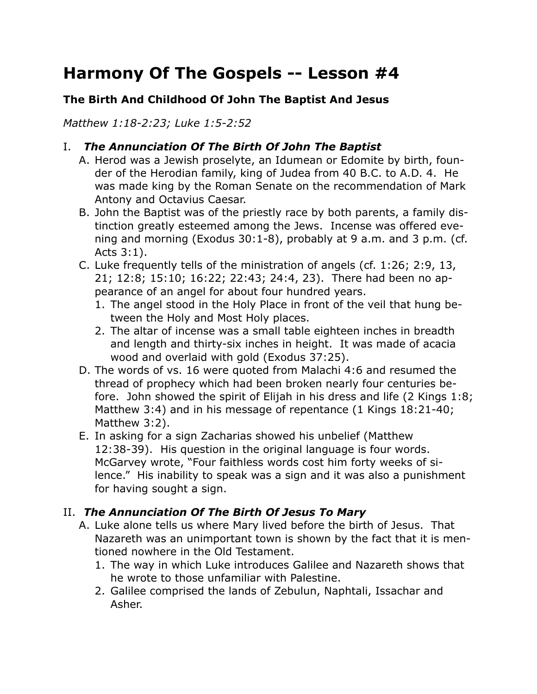# **Harmony Of The Gospels -- Lesson #4**

## **The Birth And Childhood Of John The Baptist And Jesus**

*Matthew 1:18-2:23; Luke 1:5-2:52*

## I. *The Annunciation Of The Birth Of John The Baptist*

- A. Herod was a Jewish proselyte, an Idumean or Edomite by birth, founder of the Herodian family, king of Judea from 40 B.C. to A.D. 4. He was made king by the Roman Senate on the recommendation of Mark Antony and Octavius Caesar.
- B. John the Baptist was of the priestly race by both parents, a family distinction greatly esteemed among the Jews. Incense was offered evening and morning (Exodus 30:1-8), probably at 9 a.m. and 3 p.m. (cf. Acts 3:1).
- C. Luke frequently tells of the ministration of angels (cf. 1:26; 2:9, 13, 21; 12:8; 15:10; 16:22; 22:43; 24:4, 23). There had been no appearance of an angel for about four hundred years.
	- 1. The angel stood in the Holy Place in front of the veil that hung between the Holy and Most Holy places.
	- 2. The altar of incense was a small table eighteen inches in breadth and length and thirty-six inches in height. It was made of acacia wood and overlaid with gold (Exodus 37:25).
- D. The words of vs. 16 were quoted from Malachi 4:6 and resumed the thread of prophecy which had been broken nearly four centuries before. John showed the spirit of Elijah in his dress and life (2 Kings 1:8; Matthew 3:4) and in his message of repentance (1 Kings 18:21-40; Matthew 3:2).
- E. In asking for a sign Zacharias showed his unbelief (Matthew 12:38-39). His question in the original language is four words. McGarvey wrote, "Four faithless words cost him forty weeks of silence." His inability to speak was a sign and it was also a punishment for having sought a sign.

# II. *The Annunciation Of The Birth Of Jesus To Mary*

- A. Luke alone tells us where Mary lived before the birth of Jesus. That Nazareth was an unimportant town is shown by the fact that it is mentioned nowhere in the Old Testament.
	- 1. The way in which Luke introduces Galilee and Nazareth shows that he wrote to those unfamiliar with Palestine.
	- 2. Galilee comprised the lands of Zebulun, Naphtali, Issachar and Asher.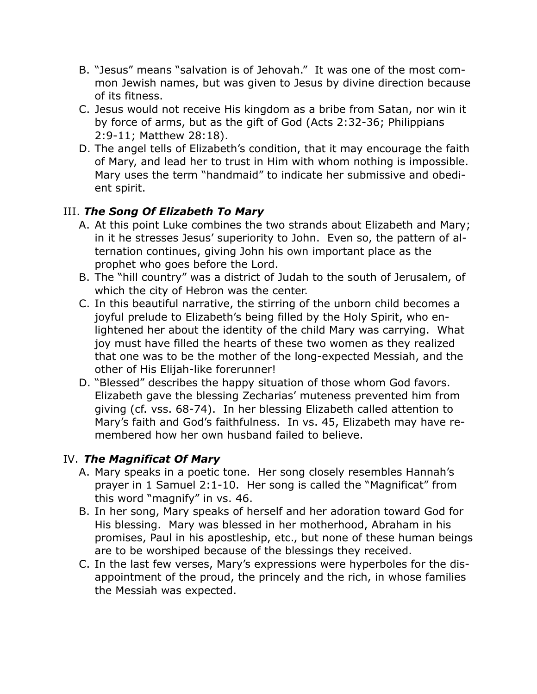- B. "Jesus" means "salvation is of Jehovah." It was one of the most common Jewish names, but was given to Jesus by divine direction because of its fitness.
- C. Jesus would not receive His kingdom as a bribe from Satan, nor win it by force of arms, but as the gift of God (Acts 2:32-36; Philippians 2:9-11; Matthew 28:18).
- D. The angel tells of Elizabeth's condition, that it may encourage the faith of Mary, and lead her to trust in Him with whom nothing is impossible. Mary uses the term "handmaid" to indicate her submissive and obedient spirit.

## III. *The Song Of Elizabeth To Mary*

- A. At this point Luke combines the two strands about Elizabeth and Mary; in it he stresses Jesus' superiority to John. Even so, the pattern of alternation continues, giving John his own important place as the prophet who goes before the Lord.
- B. The "hill country" was a district of Judah to the south of Jerusalem, of which the city of Hebron was the center.
- C. In this beautiful narrative, the stirring of the unborn child becomes a joyful prelude to Elizabeth's being filled by the Holy Spirit, who enlightened her about the identity of the child Mary was carrying. What joy must have filled the hearts of these two women as they realized that one was to be the mother of the long-expected Messiah, and the other of His Elijah-like forerunner!
- D. "Blessed" describes the happy situation of those whom God favors. Elizabeth gave the blessing Zecharias' muteness prevented him from giving (cf. vss. 68-74). In her blessing Elizabeth called attention to Mary's faith and God's faithfulness. In vs. 45, Elizabeth may have remembered how her own husband failed to believe.

# IV. *The Magnificat Of Mary*

- A. Mary speaks in a poetic tone. Her song closely resembles Hannah's prayer in 1 Samuel 2:1-10. Her song is called the "Magnificat" from this word "magnify" in vs. 46.
- B. In her song, Mary speaks of herself and her adoration toward God for His blessing. Mary was blessed in her motherhood, Abraham in his promises, Paul in his apostleship, etc., but none of these human beings are to be worshiped because of the blessings they received.
- C. In the last few verses, Mary's expressions were hyperboles for the disappointment of the proud, the princely and the rich, in whose families the Messiah was expected.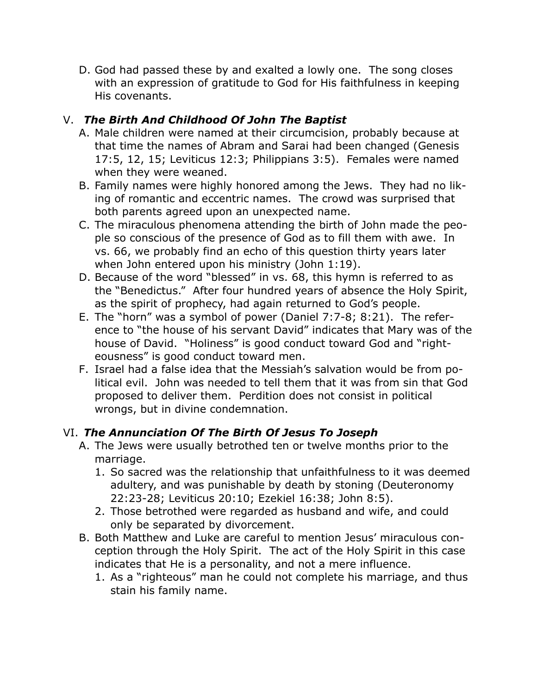D. God had passed these by and exalted a lowly one. The song closes with an expression of gratitude to God for His faithfulness in keeping His covenants.

# V. *The Birth And Childhood Of John The Baptist*

- A. Male children were named at their circumcision, probably because at that time the names of Abram and Sarai had been changed (Genesis 17:5, 12, 15; Leviticus 12:3; Philippians 3:5). Females were named when they were weaned.
- B. Family names were highly honored among the Jews. They had no liking of romantic and eccentric names. The crowd was surprised that both parents agreed upon an unexpected name.
- C. The miraculous phenomena attending the birth of John made the people so conscious of the presence of God as to fill them with awe. In vs. 66, we probably find an echo of this question thirty years later when John entered upon his ministry (John 1:19).
- D. Because of the word "blessed" in vs. 68, this hymn is referred to as the "Benedictus." After four hundred years of absence the Holy Spirit, as the spirit of prophecy, had again returned to God's people.
- E. The "horn" was a symbol of power (Daniel 7:7-8; 8:21). The reference to "the house of his servant David" indicates that Mary was of the house of David. "Holiness" is good conduct toward God and "righteousness" is good conduct toward men.
- F. Israel had a false idea that the Messiah's salvation would be from political evil. John was needed to tell them that it was from sin that God proposed to deliver them. Perdition does not consist in political wrongs, but in divine condemnation.

# VI. *The Annunciation Of The Birth Of Jesus To Joseph*

- A. The Jews were usually betrothed ten or twelve months prior to the marriage.
	- 1. So sacred was the relationship that unfaithfulness to it was deemed adultery, and was punishable by death by stoning (Deuteronomy 22:23-28; Leviticus 20:10; Ezekiel 16:38; John 8:5).
	- 2. Those betrothed were regarded as husband and wife, and could only be separated by divorcement.
- B. Both Matthew and Luke are careful to mention Jesus' miraculous conception through the Holy Spirit. The act of the Holy Spirit in this case indicates that He is a personality, and not a mere influence.
	- 1. As a "righteous" man he could not complete his marriage, and thus stain his family name.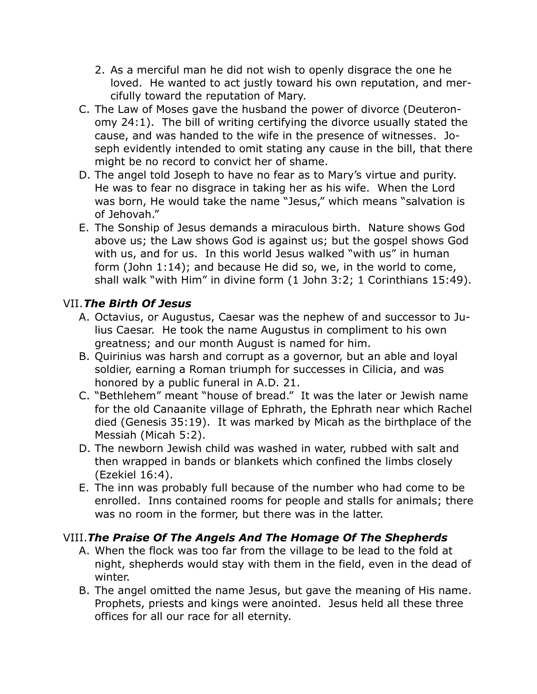- 2. As a merciful man he did not wish to openly disgrace the one he loved. He wanted to act justly toward his own reputation, and mercifully toward the reputation of Mary.
- C. The Law of Moses gave the husband the power of divorce (Deuteronomy 24:1). The bill of writing certifying the divorce usually stated the cause, and was handed to the wife in the presence of witnesses. Joseph evidently intended to omit stating any cause in the bill, that there might be no record to convict her of shame.
- D. The angel told Joseph to have no fear as to Mary's virtue and purity. He was to fear no disgrace in taking her as his wife. When the Lord was born, He would take the name "Jesus," which means "salvation is of Jehovah."
- E. The Sonship of Jesus demands a miraculous birth. Nature shows God above us; the Law shows God is against us; but the gospel shows God with us, and for us. In this world Jesus walked "with us" in human form (John 1:14); and because He did so, we, in the world to come, shall walk "with Him" in divine form (1 John 3:2; 1 Corinthians 15:49).

#### VII.*The Birth Of Jesus*

- A. Octavius, or Augustus, Caesar was the nephew of and successor to Julius Caesar. He took the name Augustus in compliment to his own greatness; and our month August is named for him.
- B. Quirinius was harsh and corrupt as a governor, but an able and loyal soldier, earning a Roman triumph for successes in Cilicia, and was honored by a public funeral in A.D. 21.
- C. "Bethlehem" meant "house of bread." It was the later or Jewish name for the old Canaanite village of Ephrath, the Ephrath near which Rachel died (Genesis 35:19). It was marked by Micah as the birthplace of the Messiah (Micah 5:2).
- D. The newborn Jewish child was washed in water, rubbed with salt and then wrapped in bands or blankets which confined the limbs closely (Ezekiel 16:4).
- E. The inn was probably full because of the number who had come to be enrolled. Inns contained rooms for people and stalls for animals; there was no room in the former, but there was in the latter.

## VIII.*The Praise Of The Angels And The Homage Of The Shepherds*

- A. When the flock was too far from the village to be lead to the fold at night, shepherds would stay with them in the field, even in the dead of winter.
- B. The angel omitted the name Jesus, but gave the meaning of His name. Prophets, priests and kings were anointed. Jesus held all these three offices for all our race for all eternity.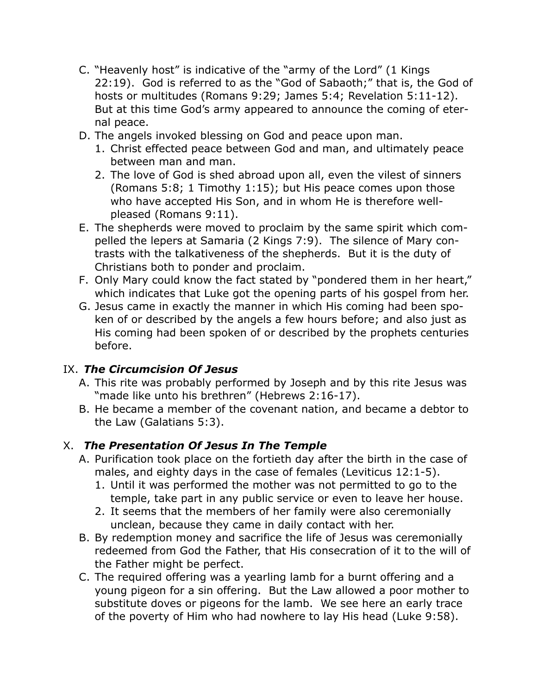- C. "Heavenly host" is indicative of the "army of the Lord" (1 Kings 22:19). God is referred to as the "God of Sabaoth;" that is, the God of hosts or multitudes (Romans 9:29; James 5:4; Revelation 5:11-12). But at this time God's army appeared to announce the coming of eternal peace.
- D. The angels invoked blessing on God and peace upon man.
	- 1. Christ effected peace between God and man, and ultimately peace between man and man.
	- 2. The love of God is shed abroad upon all, even the vilest of sinners (Romans 5:8; 1 Timothy 1:15); but His peace comes upon those who have accepted His Son, and in whom He is therefore wellpleased (Romans 9:11).
- E. The shepherds were moved to proclaim by the same spirit which compelled the lepers at Samaria (2 Kings 7:9). The silence of Mary contrasts with the talkativeness of the shepherds. But it is the duty of Christians both to ponder and proclaim.
- F. Only Mary could know the fact stated by "pondered them in her heart," which indicates that Luke got the opening parts of his gospel from her.
- G. Jesus came in exactly the manner in which His coming had been spoken of or described by the angels a few hours before; and also just as His coming had been spoken of or described by the prophets centuries before.

## IX. *The Circumcision Of Jesus*

- A. This rite was probably performed by Joseph and by this rite Jesus was "made like unto his brethren" (Hebrews 2:16-17).
- B. He became a member of the covenant nation, and became a debtor to the Law (Galatians 5:3).

## X. *The Presentation Of Jesus In The Temple*

- A. Purification took place on the fortieth day after the birth in the case of males, and eighty days in the case of females (Leviticus 12:1-5).
	- 1. Until it was performed the mother was not permitted to go to the temple, take part in any public service or even to leave her house.
	- 2. It seems that the members of her family were also ceremonially unclean, because they came in daily contact with her.
- B. By redemption money and sacrifice the life of Jesus was ceremonially redeemed from God the Father, that His consecration of it to the will of the Father might be perfect.
- C. The required offering was a yearling lamb for a burnt offering and a young pigeon for a sin offering. But the Law allowed a poor mother to substitute doves or pigeons for the lamb. We see here an early trace of the poverty of Him who had nowhere to lay His head (Luke 9:58).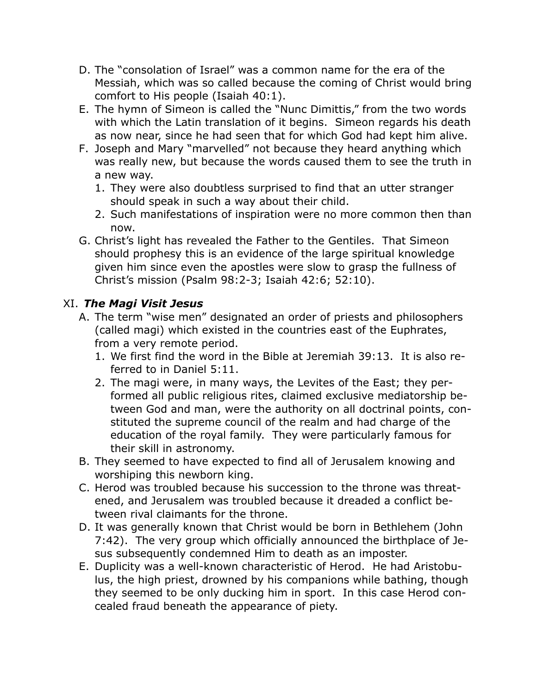- D. The "consolation of Israel" was a common name for the era of the Messiah, which was so called because the coming of Christ would bring comfort to His people (Isaiah 40:1).
- E. The hymn of Simeon is called the "Nunc Dimittis," from the two words with which the Latin translation of it begins. Simeon regards his death as now near, since he had seen that for which God had kept him alive.
- F. Joseph and Mary "marvelled" not because they heard anything which was really new, but because the words caused them to see the truth in a new way.
	- 1. They were also doubtless surprised to find that an utter stranger should speak in such a way about their child.
	- 2. Such manifestations of inspiration were no more common then than now.
- G. Christ's light has revealed the Father to the Gentiles. That Simeon should prophesy this is an evidence of the large spiritual knowledge given him since even the apostles were slow to grasp the fullness of Christ's mission (Psalm 98:2-3; Isaiah 42:6; 52:10).

#### XI. *The Magi Visit Jesus*

- A. The term "wise men" designated an order of priests and philosophers (called magi) which existed in the countries east of the Euphrates, from a very remote period.
	- 1. We first find the word in the Bible at Jeremiah 39:13. It is also referred to in Daniel 5:11.
	- 2. The magi were, in many ways, the Levites of the East; they performed all public religious rites, claimed exclusive mediatorship between God and man, were the authority on all doctrinal points, constituted the supreme council of the realm and had charge of the education of the royal family. They were particularly famous for their skill in astronomy.
- B. They seemed to have expected to find all of Jerusalem knowing and worshiping this newborn king.
- C. Herod was troubled because his succession to the throne was threatened, and Jerusalem was troubled because it dreaded a conflict between rival claimants for the throne.
- D. It was generally known that Christ would be born in Bethlehem (John 7:42). The very group which officially announced the birthplace of Jesus subsequently condemned Him to death as an imposter.
- E. Duplicity was a well-known characteristic of Herod. He had Aristobulus, the high priest, drowned by his companions while bathing, though they seemed to be only ducking him in sport. In this case Herod concealed fraud beneath the appearance of piety.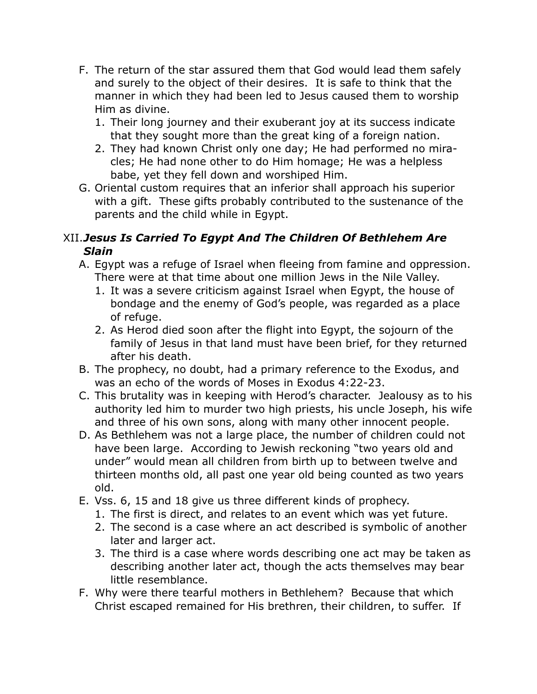- F. The return of the star assured them that God would lead them safely and surely to the object of their desires. It is safe to think that the manner in which they had been led to Jesus caused them to worship Him as divine.
	- 1. Their long journey and their exuberant joy at its success indicate that they sought more than the great king of a foreign nation.
	- 2. They had known Christ only one day; He had performed no miracles; He had none other to do Him homage; He was a helpless babe, yet they fell down and worshiped Him.
- G. Oriental custom requires that an inferior shall approach his superior with a gift. These gifts probably contributed to the sustenance of the parents and the child while in Egypt.

## XII.*Jesus Is Carried To Egypt And The Children Of Bethlehem Are Slain*

- A. Egypt was a refuge of Israel when fleeing from famine and oppression. There were at that time about one million Jews in the Nile Valley.
	- 1. It was a severe criticism against Israel when Egypt, the house of bondage and the enemy of God's people, was regarded as a place of refuge.
	- 2. As Herod died soon after the flight into Egypt, the sojourn of the family of Jesus in that land must have been brief, for they returned after his death.
- B. The prophecy, no doubt, had a primary reference to the Exodus, and was an echo of the words of Moses in Exodus 4:22-23.
- C. This brutality was in keeping with Herod's character. Jealousy as to his authority led him to murder two high priests, his uncle Joseph, his wife and three of his own sons, along with many other innocent people.
- D. As Bethlehem was not a large place, the number of children could not have been large. According to Jewish reckoning "two years old and under" would mean all children from birth up to between twelve and thirteen months old, all past one year old being counted as two years old.
- E. Vss. 6, 15 and 18 give us three different kinds of prophecy.
	- 1. The first is direct, and relates to an event which was yet future.
	- 2. The second is a case where an act described is symbolic of another later and larger act.
	- 3. The third is a case where words describing one act may be taken as describing another later act, though the acts themselves may bear little resemblance.
- F. Why were there tearful mothers in Bethlehem? Because that which Christ escaped remained for His brethren, their children, to suffer. If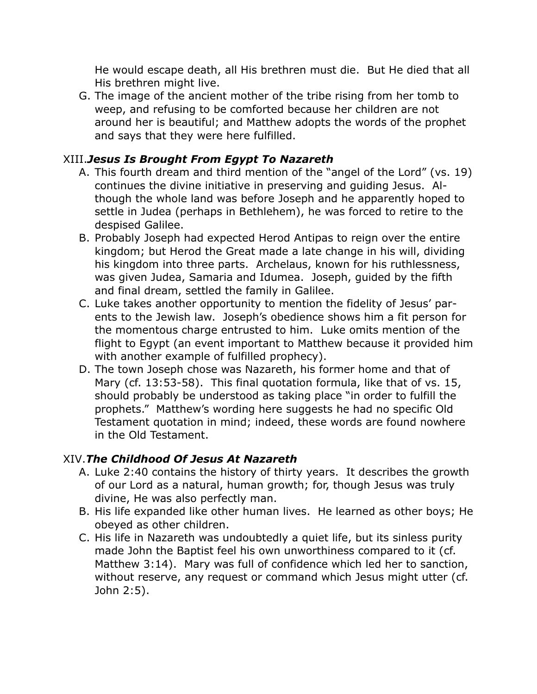He would escape death, all His brethren must die. But He died that all His brethren might live.

G. The image of the ancient mother of the tribe rising from her tomb to weep, and refusing to be comforted because her children are not around her is beautiful; and Matthew adopts the words of the prophet and says that they were here fulfilled.

#### XIII.*Jesus Is Brought From Egypt To Nazareth*

- A. This fourth dream and third mention of the "angel of the Lord" (vs. 19) continues the divine initiative in preserving and guiding Jesus. Although the whole land was before Joseph and he apparently hoped to settle in Judea (perhaps in Bethlehem), he was forced to retire to the despised Galilee.
- B. Probably Joseph had expected Herod Antipas to reign over the entire kingdom; but Herod the Great made a late change in his will, dividing his kingdom into three parts. Archelaus, known for his ruthlessness, was given Judea, Samaria and Idumea. Joseph, guided by the fifth and final dream, settled the family in Galilee.
- C. Luke takes another opportunity to mention the fidelity of Jesus' parents to the Jewish law. Joseph's obedience shows him a fit person for the momentous charge entrusted to him. Luke omits mention of the flight to Egypt (an event important to Matthew because it provided him with another example of fulfilled prophecy).
- D. The town Joseph chose was Nazareth, his former home and that of Mary (cf. 13:53-58). This final quotation formula, like that of vs. 15, should probably be understood as taking place "in order to fulfill the prophets." Matthew's wording here suggests he had no specific Old Testament quotation in mind; indeed, these words are found nowhere in the Old Testament.

## XIV.*The Childhood Of Jesus At Nazareth*

- A. Luke 2:40 contains the history of thirty years. It describes the growth of our Lord as a natural, human growth; for, though Jesus was truly divine, He was also perfectly man.
- B. His life expanded like other human lives. He learned as other boys; He obeyed as other children.
- C. His life in Nazareth was undoubtedly a quiet life, but its sinless purity made John the Baptist feel his own unworthiness compared to it (cf. Matthew 3:14). Mary was full of confidence which led her to sanction, without reserve, any request or command which Jesus might utter (cf. John 2:5).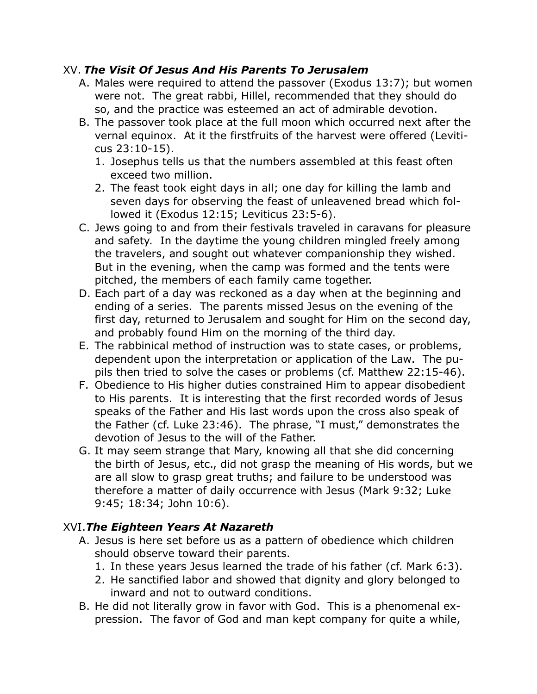#### XV. *The Visit Of Jesus And His Parents To Jerusalem*

- A. Males were required to attend the passover (Exodus 13:7); but women were not. The great rabbi, Hillel, recommended that they should do so, and the practice was esteemed an act of admirable devotion.
- B. The passover took place at the full moon which occurred next after the vernal equinox. At it the firstfruits of the harvest were offered (Leviticus 23:10-15).
	- 1. Josephus tells us that the numbers assembled at this feast often exceed two million.
	- 2. The feast took eight days in all; one day for killing the lamb and seven days for observing the feast of unleavened bread which followed it (Exodus 12:15; Leviticus 23:5-6).
- C. Jews going to and from their festivals traveled in caravans for pleasure and safety. In the daytime the young children mingled freely among the travelers, and sought out whatever companionship they wished. But in the evening, when the camp was formed and the tents were pitched, the members of each family came together.
- D. Each part of a day was reckoned as a day when at the beginning and ending of a series. The parents missed Jesus on the evening of the first day, returned to Jerusalem and sought for Him on the second day, and probably found Him on the morning of the third day.
- E. The rabbinical method of instruction was to state cases, or problems, dependent upon the interpretation or application of the Law. The pupils then tried to solve the cases or problems (cf. Matthew 22:15-46).
- F. Obedience to His higher duties constrained Him to appear disobedient to His parents. It is interesting that the first recorded words of Jesus speaks of the Father and His last words upon the cross also speak of the Father (cf. Luke 23:46). The phrase, "I must," demonstrates the devotion of Jesus to the will of the Father.
- G. It may seem strange that Mary, knowing all that she did concerning the birth of Jesus, etc., did not grasp the meaning of His words, but we are all slow to grasp great truths; and failure to be understood was therefore a matter of daily occurrence with Jesus (Mark 9:32; Luke 9:45; 18:34; John 10:6).

## XVI.*The Eighteen Years At Nazareth*

- A. Jesus is here set before us as a pattern of obedience which children should observe toward their parents.
	- 1. In these years Jesus learned the trade of his father (cf. Mark 6:3).
	- 2. He sanctified labor and showed that dignity and glory belonged to inward and not to outward conditions.
- B. He did not literally grow in favor with God. This is a phenomenal expression. The favor of God and man kept company for quite a while,